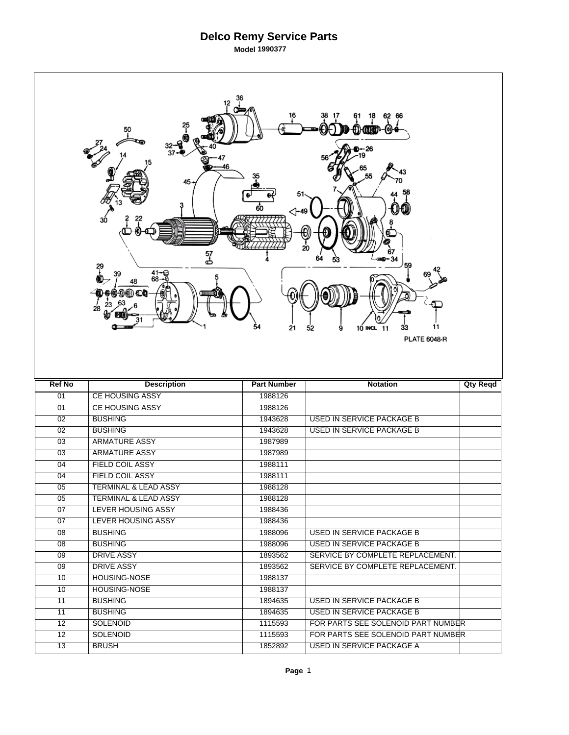|                 | 12<br>50<br>45<br>30<br>57<br>ക<br>得<br>$41 - 68 - 6$<br>39<br>48<br>28 | $\triangle$ -49<br>21 | 62<br>66<br>20<br>59<br>11<br>10 INCL 11<br>33<br>52<br>9<br><b>PLATE 6048-R</b> |                 |
|-----------------|-------------------------------------------------------------------------|-----------------------|----------------------------------------------------------------------------------|-----------------|
|                 |                                                                         |                       |                                                                                  |                 |
| <b>Ref No</b>   | <b>Description</b>                                                      | <b>Part Number</b>    | <b>Notation</b>                                                                  | <b>Qty Reqd</b> |
| 01              | <b>CE HOUSING ASSY</b>                                                  | 1988126               |                                                                                  |                 |
| 01              | <b>CE HOUSING ASSY</b>                                                  | 1988126               |                                                                                  |                 |
| $\overline{02}$ | <b>BUSHING</b>                                                          | 1943628               | <b>USED IN SERVICE PACKAGE B</b>                                                 |                 |
| $\overline{02}$ | <b>BUSHING</b>                                                          | 1943628               | <b>USED IN SERVICE PACKAGE B</b>                                                 |                 |
| 03              | <b>ARMATURE ASSY</b>                                                    | 1987989               |                                                                                  |                 |
| 03              | <b>ARMATURE ASSY</b>                                                    | 1987989               |                                                                                  |                 |
| 04              | <b>FIELD COIL ASSY</b>                                                  | 1988111               |                                                                                  |                 |
| 04              | <b>FIELD COIL ASSY</b>                                                  | 1988111               |                                                                                  |                 |
| $\overline{05}$ | <b>TERMINAL &amp; LEAD ASSY</b>                                         | 1988128               |                                                                                  |                 |
| 05              | <b>TERMINAL &amp; LEAD ASSY</b>                                         | 1988128               |                                                                                  |                 |
| 07              | <b>LEVER HOUSING ASSY</b>                                               | 1988436               |                                                                                  |                 |
| $\overline{07}$ | LEVER HOUSING ASSY                                                      | 1988436               |                                                                                  |                 |
| 08              | <b>BUSHING</b>                                                          | 1988096               | USED IN SERVICE PACKAGE B                                                        |                 |
| $\overline{08}$ | <b>BUSHING</b>                                                          | 1988096               | USED IN SERVICE PACKAGE B                                                        |                 |
| $\overline{09}$ | <b>DRIVE ASSY</b>                                                       | 1893562               | SERVICE BY COMPLETE REPLACEMENT.                                                 |                 |
| 09              | <b>DRIVE ASSY</b>                                                       | 1893562               | SERVICE BY COMPLETE REPLACEMENT.                                                 |                 |
| 10              | <b>HOUSING-NOSE</b>                                                     | 1988137               |                                                                                  |                 |
| 10              | <b>HOUSING-NOSE</b>                                                     | 1988137               |                                                                                  |                 |
| 11              | <b>BUSHING</b>                                                          | 1894635               | USED IN SERVICE PACKAGE B                                                        |                 |
| $\overline{11}$ | <b>BUSHING</b>                                                          | 1894635               | USED IN SERVICE PACKAGE B                                                        |                 |
| $\overline{12}$ | <b>SOLENOID</b>                                                         | 1115593               | FOR PARTS SEE SOLENOID PART NUMBER                                               |                 |
| 12              | <b>SOLENOID</b>                                                         | 1115593               | FOR PARTS SEE SOLENOID PART NUMBER                                               |                 |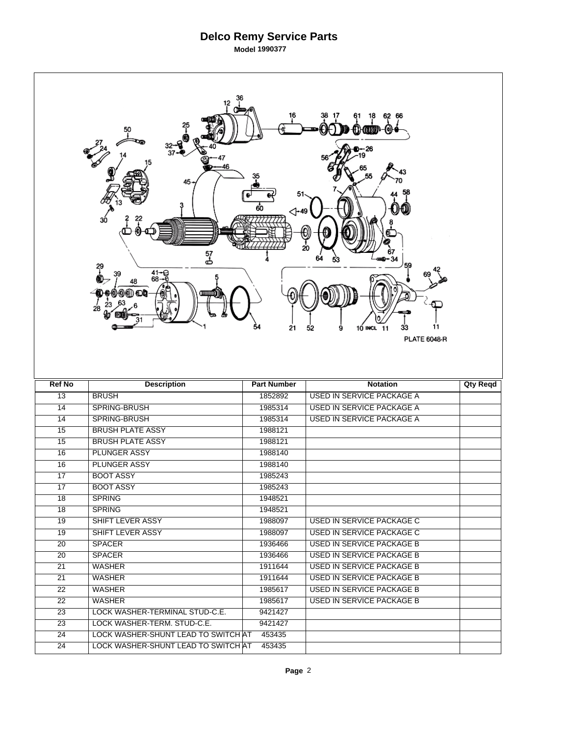|                       | 12<br>45<br>30<br>57<br>ക<br>29<br>$41 - 68 - 6$<br>39<br>48<br>லை வெ<br>28 | ⊲-49<br>21         | 20<br>59<br>11<br>33<br>10 INCL 11<br>52<br>9<br><b>PLATE 6048-R</b> |                 |
|-----------------------|-----------------------------------------------------------------------------|--------------------|----------------------------------------------------------------------|-----------------|
|                       |                                                                             |                    |                                                                      |                 |
| <b>Ref No</b>         | <b>Description</b>                                                          | <b>Part Number</b> | <b>Notation</b>                                                      | <b>Qty Reqd</b> |
| $\overline{13}$       | <b>BRUSH</b>                                                                | 1852892            | <b>USED IN SERVICE PACKAGE A</b>                                     |                 |
| $\overline{14}$       | SPRING-BRUSH                                                                | 1985314            | <b>USED IN SERVICE PACKAGE A</b>                                     |                 |
| 14                    | SPRING-BRUSH                                                                | 1985314            | <b>USED IN SERVICE PACKAGE A</b>                                     |                 |
| $\overline{15}$       | <b>BRUSH PLATE ASSY</b>                                                     | 1988121            |                                                                      |                 |
| 15                    | <b>BRUSH PLATE ASSY</b>                                                     | 1988121            |                                                                      |                 |
| 16                    | <b>PLUNGER ASSY</b>                                                         | 1988140            |                                                                      |                 |
| 16                    | <b>PLUNGER ASSY</b>                                                         | 1988140            |                                                                      |                 |
| $\overline{17}$       | <b>BOOT ASSY</b>                                                            | 1985243            |                                                                      |                 |
| $\overline{17}$       | <b>BOOT ASSY</b>                                                            | 1985243            |                                                                      |                 |
| 18                    | <b>SPRING</b>                                                               | 1948521            |                                                                      |                 |
| 18                    | <b>SPRING</b>                                                               | 1948521            |                                                                      |                 |
| 19                    | SHIFT LEVER ASSY                                                            | 1988097            | USED IN SERVICE PACKAGE C                                            |                 |
| 19                    | SHIFT LEVER ASSY                                                            | 1988097            | <b>USED IN SERVICE PACKAGE C</b>                                     |                 |
| 20                    | <b>SPACER</b>                                                               | 1936466            | <b>USED IN SERVICE PACKAGE B</b>                                     |                 |
| 20                    | <b>SPACER</b>                                                               | 1936466            | <b>USED IN SERVICE PACKAGE B</b>                                     |                 |
| 21                    | <b>WASHER</b>                                                               | 1911644            | <b>USED IN SERVICE PACKAGE B</b>                                     |                 |
| $\overline{21}$       | <b>WASHER</b>                                                               | 1911644            | <b>USED IN SERVICE PACKAGE B</b>                                     |                 |
| $\overline{22}$       | <b>WASHER</b>                                                               | 1985617            | USED IN SERVICE PACKAGE B                                            |                 |
| 22                    | <b>WASHER</b>                                                               | 1985617            | <b>USED IN SERVICE PACKAGE B</b>                                     |                 |
| 23                    | LOCK WASHER-TERMINAL STUD-C.E.                                              | 9421427            |                                                                      |                 |
| $\overline{23}$       | LOCK WASHER-TERM. STUD-C.E.                                                 | 9421427            |                                                                      |                 |
| 24<br>$\overline{24}$ | LOCK WASHER-SHUNT LEAD TO SWITCHAT<br>LOCK WASHER-SHUNT LEAD TO SWITCHAT    | 453435<br>453435   |                                                                      |                 |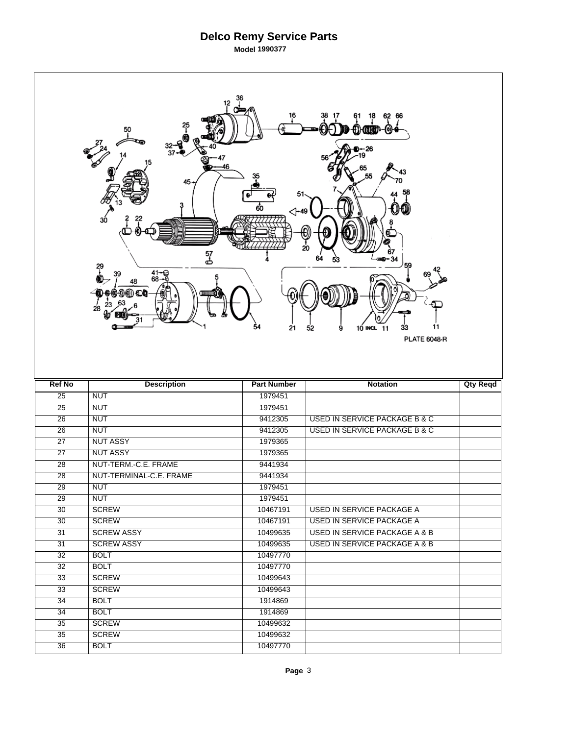| <b>Ref No</b><br><b>Part Number</b><br><b>Description</b><br><b>Notation</b><br><b>Qty Reqd</b><br>$\overline{25}$<br><b>NUT</b><br>1979451<br><b>NUT</b><br>1979451<br>$\overline{25}$<br>$\overline{26}$<br><b>NUT</b><br>9412305<br><b>USED IN SERVICE PACKAGE B &amp; C</b><br>$\overline{26}$<br><b>NUT</b><br>9412305<br><b>USED IN SERVICE PACKAGE B &amp; C</b><br><b>NUT ASSY</b><br>$\overline{27}$<br>1979365<br><b>NUT ASSY</b><br>$\overline{27}$<br>1979365<br>NUT-TERM.-C.E. FRAME<br>9441934<br>28<br>NUT-TERMINAL-C.E. FRAME<br>28<br>9441934<br>$\overline{29}$<br><b>NUT</b><br>1979451<br>$\overline{29}$<br><b>NUT</b><br>1979451<br>30<br><b>SCREW</b><br>10467191<br>USED IN SERVICE PACKAGE A<br>$\overline{30}$<br><b>SCREW</b><br>10467191<br><b>USED IN SERVICE PACKAGE A</b><br><b>SCREW ASSY</b><br>10499635<br>USED IN SERVICE PACKAGE A & B<br>31<br><b>SCREW ASSY</b><br>10499635<br><b>USED IN SERVICE PACKAGE A &amp; B</b><br>31<br>10497770<br>32<br><b>BOLT</b><br>10497770<br>$\overline{32}$<br><b>BOLT</b><br><b>SCREW</b><br>10499643<br>33<br><b>SCREW</b><br>33<br>10499643<br>34<br><b>BOLT</b><br>1914869<br>$\overline{34}$<br><b>BOLT</b><br>1914869<br>$\overline{35}$<br><b>SCREW</b><br>10499632<br><b>SCREW</b><br>10499632<br>35<br>10497770<br><b>BOLT</b><br>$\overline{36}$ | 12<br>50<br>37<br>46<br>$45 -$<br>3ó<br>57<br>ക<br>?<br>$41 - 9$<br>68 - 9<br>39<br>48<br>லை வெ<br>28 | 51<br>60<br>$\triangle$ -49<br>54<br>21 | 62<br>18<br>66<br>0<br>26<br>20<br>34<br>59<br>11<br>33<br>10 INCL 11<br>52<br>9<br><b>PLATE 6048-R</b> |  |
|------------------------------------------------------------------------------------------------------------------------------------------------------------------------------------------------------------------------------------------------------------------------------------------------------------------------------------------------------------------------------------------------------------------------------------------------------------------------------------------------------------------------------------------------------------------------------------------------------------------------------------------------------------------------------------------------------------------------------------------------------------------------------------------------------------------------------------------------------------------------------------------------------------------------------------------------------------------------------------------------------------------------------------------------------------------------------------------------------------------------------------------------------------------------------------------------------------------------------------------------------------------------------------------------------------------------------------|-------------------------------------------------------------------------------------------------------|-----------------------------------------|---------------------------------------------------------------------------------------------------------|--|
|                                                                                                                                                                                                                                                                                                                                                                                                                                                                                                                                                                                                                                                                                                                                                                                                                                                                                                                                                                                                                                                                                                                                                                                                                                                                                                                                    |                                                                                                       |                                         |                                                                                                         |  |
|                                                                                                                                                                                                                                                                                                                                                                                                                                                                                                                                                                                                                                                                                                                                                                                                                                                                                                                                                                                                                                                                                                                                                                                                                                                                                                                                    |                                                                                                       |                                         |                                                                                                         |  |
|                                                                                                                                                                                                                                                                                                                                                                                                                                                                                                                                                                                                                                                                                                                                                                                                                                                                                                                                                                                                                                                                                                                                                                                                                                                                                                                                    |                                                                                                       |                                         |                                                                                                         |  |
|                                                                                                                                                                                                                                                                                                                                                                                                                                                                                                                                                                                                                                                                                                                                                                                                                                                                                                                                                                                                                                                                                                                                                                                                                                                                                                                                    |                                                                                                       |                                         |                                                                                                         |  |
|                                                                                                                                                                                                                                                                                                                                                                                                                                                                                                                                                                                                                                                                                                                                                                                                                                                                                                                                                                                                                                                                                                                                                                                                                                                                                                                                    |                                                                                                       |                                         |                                                                                                         |  |
|                                                                                                                                                                                                                                                                                                                                                                                                                                                                                                                                                                                                                                                                                                                                                                                                                                                                                                                                                                                                                                                                                                                                                                                                                                                                                                                                    |                                                                                                       |                                         |                                                                                                         |  |
|                                                                                                                                                                                                                                                                                                                                                                                                                                                                                                                                                                                                                                                                                                                                                                                                                                                                                                                                                                                                                                                                                                                                                                                                                                                                                                                                    |                                                                                                       |                                         |                                                                                                         |  |
|                                                                                                                                                                                                                                                                                                                                                                                                                                                                                                                                                                                                                                                                                                                                                                                                                                                                                                                                                                                                                                                                                                                                                                                                                                                                                                                                    |                                                                                                       |                                         |                                                                                                         |  |
|                                                                                                                                                                                                                                                                                                                                                                                                                                                                                                                                                                                                                                                                                                                                                                                                                                                                                                                                                                                                                                                                                                                                                                                                                                                                                                                                    |                                                                                                       |                                         |                                                                                                         |  |
|                                                                                                                                                                                                                                                                                                                                                                                                                                                                                                                                                                                                                                                                                                                                                                                                                                                                                                                                                                                                                                                                                                                                                                                                                                                                                                                                    |                                                                                                       |                                         |                                                                                                         |  |
|                                                                                                                                                                                                                                                                                                                                                                                                                                                                                                                                                                                                                                                                                                                                                                                                                                                                                                                                                                                                                                                                                                                                                                                                                                                                                                                                    |                                                                                                       |                                         |                                                                                                         |  |
|                                                                                                                                                                                                                                                                                                                                                                                                                                                                                                                                                                                                                                                                                                                                                                                                                                                                                                                                                                                                                                                                                                                                                                                                                                                                                                                                    |                                                                                                       |                                         |                                                                                                         |  |
|                                                                                                                                                                                                                                                                                                                                                                                                                                                                                                                                                                                                                                                                                                                                                                                                                                                                                                                                                                                                                                                                                                                                                                                                                                                                                                                                    |                                                                                                       |                                         |                                                                                                         |  |
|                                                                                                                                                                                                                                                                                                                                                                                                                                                                                                                                                                                                                                                                                                                                                                                                                                                                                                                                                                                                                                                                                                                                                                                                                                                                                                                                    |                                                                                                       |                                         |                                                                                                         |  |
|                                                                                                                                                                                                                                                                                                                                                                                                                                                                                                                                                                                                                                                                                                                                                                                                                                                                                                                                                                                                                                                                                                                                                                                                                                                                                                                                    |                                                                                                       |                                         |                                                                                                         |  |
|                                                                                                                                                                                                                                                                                                                                                                                                                                                                                                                                                                                                                                                                                                                                                                                                                                                                                                                                                                                                                                                                                                                                                                                                                                                                                                                                    |                                                                                                       |                                         |                                                                                                         |  |
|                                                                                                                                                                                                                                                                                                                                                                                                                                                                                                                                                                                                                                                                                                                                                                                                                                                                                                                                                                                                                                                                                                                                                                                                                                                                                                                                    |                                                                                                       |                                         |                                                                                                         |  |
|                                                                                                                                                                                                                                                                                                                                                                                                                                                                                                                                                                                                                                                                                                                                                                                                                                                                                                                                                                                                                                                                                                                                                                                                                                                                                                                                    |                                                                                                       |                                         |                                                                                                         |  |
|                                                                                                                                                                                                                                                                                                                                                                                                                                                                                                                                                                                                                                                                                                                                                                                                                                                                                                                                                                                                                                                                                                                                                                                                                                                                                                                                    |                                                                                                       |                                         |                                                                                                         |  |
|                                                                                                                                                                                                                                                                                                                                                                                                                                                                                                                                                                                                                                                                                                                                                                                                                                                                                                                                                                                                                                                                                                                                                                                                                                                                                                                                    |                                                                                                       |                                         |                                                                                                         |  |
|                                                                                                                                                                                                                                                                                                                                                                                                                                                                                                                                                                                                                                                                                                                                                                                                                                                                                                                                                                                                                                                                                                                                                                                                                                                                                                                                    |                                                                                                       |                                         |                                                                                                         |  |
|                                                                                                                                                                                                                                                                                                                                                                                                                                                                                                                                                                                                                                                                                                                                                                                                                                                                                                                                                                                                                                                                                                                                                                                                                                                                                                                                    |                                                                                                       |                                         |                                                                                                         |  |
|                                                                                                                                                                                                                                                                                                                                                                                                                                                                                                                                                                                                                                                                                                                                                                                                                                                                                                                                                                                                                                                                                                                                                                                                                                                                                                                                    |                                                                                                       |                                         |                                                                                                         |  |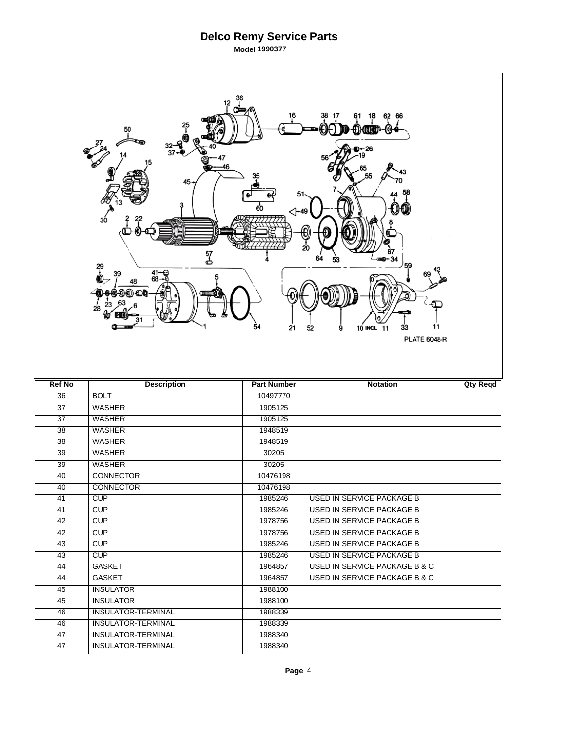|                 | 12<br>50<br>-<br>37<br>46<br>45-<br>зó<br>57<br>ප්<br>?<br>$41 - 9$<br>68-0<br>39<br>48<br>0) O) O<br>28 | 51<br>60<br>$\triangle$ -49<br>54<br>21 | 62<br>18<br>66<br>0<br>26<br>20<br>34<br>59<br>11<br>33<br>10 INCL 11<br>52<br>9<br><b>PLATE 6048-R</b> |                 |
|-----------------|----------------------------------------------------------------------------------------------------------|-----------------------------------------|---------------------------------------------------------------------------------------------------------|-----------------|
|                 |                                                                                                          |                                         |                                                                                                         |                 |
| <b>Ref No</b>   |                                                                                                          | <b>Part Number</b>                      | <b>Notation</b>                                                                                         | <b>Qty Reqd</b> |
| $\overline{36}$ | <b>Description</b><br><b>BOLT</b>                                                                        | 10497770                                |                                                                                                         |                 |
| $\overline{37}$ | <b>WASHER</b>                                                                                            | 1905125                                 |                                                                                                         |                 |
| $\overline{37}$ | <b>WASHER</b>                                                                                            | 1905125                                 |                                                                                                         |                 |
| $\overline{38}$ | <b>WASHER</b>                                                                                            | 1948519                                 |                                                                                                         |                 |
| 38              | <b>WASHER</b>                                                                                            | 1948519                                 |                                                                                                         |                 |
| $\overline{39}$ | <b>WASHER</b>                                                                                            | 30205                                   |                                                                                                         |                 |
| $\overline{39}$ | <b>WASHER</b>                                                                                            | 30205                                   |                                                                                                         |                 |
| 40              | <b>CONNECTOR</b>                                                                                         | 10476198                                |                                                                                                         |                 |
| 40              | <b>CONNECTOR</b>                                                                                         | 10476198                                |                                                                                                         |                 |
| 41              | <b>CUP</b>                                                                                               | 1985246                                 | <b>USED IN SERVICE PACKAGE B</b>                                                                        |                 |
| 41              | <b>CUP</b>                                                                                               | 1985246                                 | <b>USED IN SERVICE PACKAGE B</b>                                                                        |                 |
| 42              | CUP                                                                                                      | 1978756                                 | <b>USED IN SERVICE PACKAGE B</b>                                                                        |                 |
| 42              | CUP                                                                                                      | 1978756                                 | <b>USED IN SERVICE PACKAGE B</b>                                                                        |                 |
| 43              | CUP                                                                                                      | 1985246                                 | <b>USED IN SERVICE PACKAGE B</b>                                                                        |                 |
| 43              | CUP                                                                                                      | 1985246                                 | <b>USED IN SERVICE PACKAGE B</b>                                                                        |                 |
| 44              | <b>GASKET</b>                                                                                            | 1964857                                 | USED IN SERVICE PACKAGE B & C                                                                           |                 |
| 44              | <b>GASKET</b>                                                                                            | 1964857                                 | <b>USED IN SERVICE PACKAGE B &amp; C</b>                                                                |                 |
| 45              | <b>INSULATOR</b>                                                                                         | 1988100                                 |                                                                                                         |                 |
| 45              | <b>INSULATOR</b>                                                                                         | 1988100                                 |                                                                                                         |                 |
| 46              | <b>INSULATOR-TERMINAL</b>                                                                                | 1988339                                 |                                                                                                         |                 |
| 46              | <b>INSULATOR-TERMINAL</b>                                                                                | 1988339                                 |                                                                                                         |                 |
| 47              | <b>INSULATOR-TERMINAL</b>                                                                                | 1988340                                 |                                                                                                         |                 |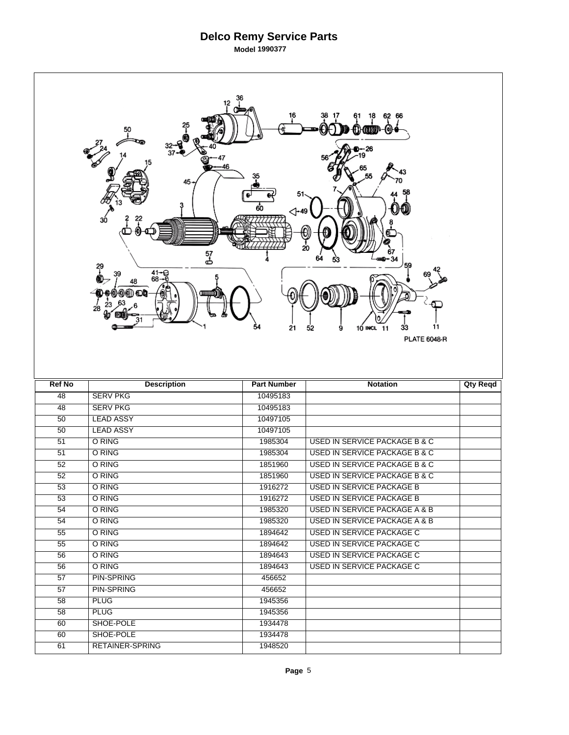|                 | 12<br>25<br><u>+</u><br>50<br>32→<br>37•<br>46<br>45-<br>$30^{\circ}$<br>57<br>ക<br>?<br>$41 - 68 - 6$<br>39<br>48<br>0) ON O<br>28 | 51<br>60<br>⊲-49<br>54<br>21 | 62 66<br>18<br>(o))<br>{}}{@DDP<br>)-- 26<br>20<br>67<br>$-34$<br>59<br>11<br>9<br>10 INCL 11<br>33<br>52<br><b>PLATE 6048-R</b> |                 |
|-----------------|-------------------------------------------------------------------------------------------------------------------------------------|------------------------------|----------------------------------------------------------------------------------------------------------------------------------|-----------------|
|                 |                                                                                                                                     |                              |                                                                                                                                  |                 |
| <b>Ref No</b>   | <b>Description</b>                                                                                                                  | <b>Part Number</b>           | <b>Notation</b>                                                                                                                  | <b>Qty Reqd</b> |
| 48              | <b>SERV PKG</b>                                                                                                                     | 10495183                     |                                                                                                                                  |                 |
| 48              | <b>SERV PKG</b>                                                                                                                     | 10495183                     |                                                                                                                                  |                 |
| 50              | <b>LEAD ASSY</b>                                                                                                                    | 10497105                     |                                                                                                                                  |                 |
| $\overline{50}$ | <b>LEAD ASSY</b>                                                                                                                    | 10497105                     |                                                                                                                                  |                 |
| 51              | O RING                                                                                                                              | 1985304                      | <b>USED IN SERVICE PACKAGE B &amp; C</b>                                                                                         |                 |
| 51              | O RING                                                                                                                              | 1985304                      | <b>USED IN SERVICE PACKAGE B &amp; C</b>                                                                                         |                 |
| 52              | O RING                                                                                                                              | 1851960                      | <b>USED IN SERVICE PACKAGE B &amp; C</b>                                                                                         |                 |
| 52              | O RING                                                                                                                              | 1851960                      | USED IN SERVICE PACKAGE B & C                                                                                                    |                 |
| $\overline{53}$ | O RING                                                                                                                              | 1916272                      | <b>USED IN SERVICE PACKAGE B</b>                                                                                                 |                 |
| 53              | O RING                                                                                                                              | 1916272                      | <b>USED IN SERVICE PACKAGE B</b>                                                                                                 |                 |
| 54              | O RING                                                                                                                              | 1985320                      | USED IN SERVICE PACKAGE A & B                                                                                                    |                 |
| 54              | O RING                                                                                                                              | 1985320                      | USED IN SERVICE PACKAGE A & B                                                                                                    |                 |
| 55              | O RING                                                                                                                              | 1894642                      | <b>USED IN SERVICE PACKAGE C</b>                                                                                                 |                 |
| 55              | O RING                                                                                                                              | 1894642                      | USED IN SERVICE PACKAGE C                                                                                                        |                 |
| 56              | O RING                                                                                                                              | 1894643                      | <b>USED IN SERVICE PACKAGE C</b>                                                                                                 |                 |
| 56              | O RING                                                                                                                              | 1894643                      | USED IN SERVICE PACKAGE C                                                                                                        |                 |
| 57              | <b>PIN-SPRING</b>                                                                                                                   | 456652                       |                                                                                                                                  |                 |
| 57              | <b>PIN-SPRING</b>                                                                                                                   | 456652                       |                                                                                                                                  |                 |
| 58              | <b>PLUG</b>                                                                                                                         | 1945356                      |                                                                                                                                  |                 |
| 58              | <b>PLUG</b>                                                                                                                         | 1945356                      |                                                                                                                                  |                 |
| 60              | SHOE-POLE                                                                                                                           | 1934478                      |                                                                                                                                  |                 |
| 60<br>61        | SHOE-POLE<br><b>RETAINER-SPRING</b>                                                                                                 | 1934478<br>1948520           |                                                                                                                                  |                 |